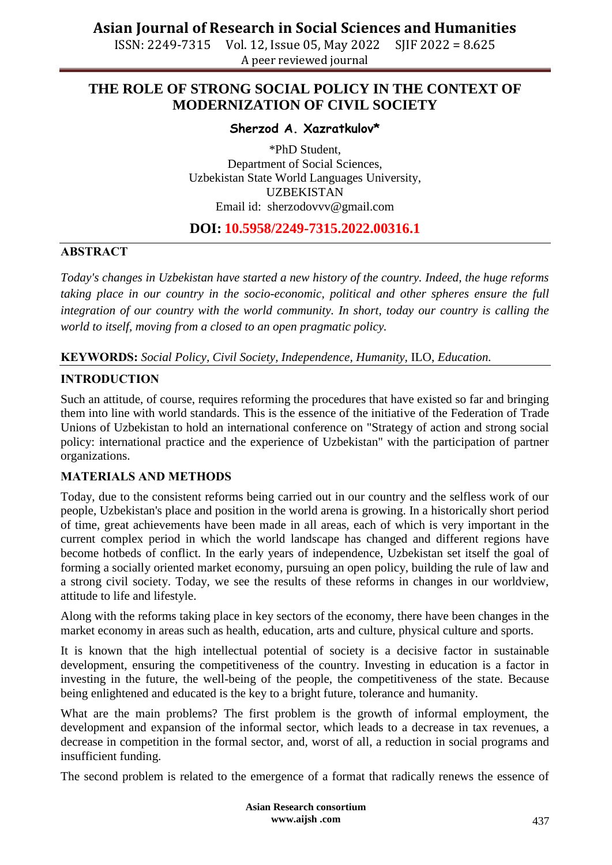ISSN: 2249-7315 Vol. 12, Issue 05, May 2022 SJIF 2022 = 8.625 A peer reviewed journal

## **THE ROLE OF STRONG SOCIAL POLICY IN THE CONTEXT OF MODERNIZATION OF CIVIL SOCIETY**

## **Sherzod A. Xazratkulov\***

\*PhD Student, Department of Social Sciences, Uzbekistan State World Languages University, UZBEKISTAN Email id: [sherzodovvv@gmail.com](mailto:sherzodovvv@gmail.com)

## **DOI: 10.5958/2249-7315.2022.00316.1**

#### **АBSTRACT**

*Today's changes in Uzbekistan have started a new history of the country. Indeed, the huge reforms taking place in our country in the socio-economic, political and other spheres ensure the full integration of our country with the world community. In short, today our country is calling the world to itself, moving from a closed to an open pragmatic policy.*

### **KЕYWОRDS:** *Social Policy, Civil Society, Independence, Humanity,* ILO, *Education.*

### **INTRОDUСTIОN**

Such an attitude, of course, requires reforming the procedures that have existed so far and bringing them into line with world standards. This is the essence of the initiative of the Federation of Trade Unions of Uzbekistan to hold an international conference on "Strategy of action and strong social policy: international practice and the experience of Uzbekistan" with the participation of partner organizations.

#### **MАTЕRIАLS АND MЕTHОDS**

Today, due to the consistent reforms being carried out in our country and the selfless work of our people, Uzbekistan's place and position in the world arena is growing. In a historically short period of time, great achievements have been made in all areas, each of which is very important in the current complex period in which the world landscape has changed and different regions have become hotbeds of conflict. In the early years of independence, Uzbekistan set itself the goal of forming a socially oriented market economy, pursuing an open policy, building the rule of law and a strong civil society. Today, we see the results of these reforms in changes in our worldview, attitude to life and lifestyle.

Along with the reforms taking place in key sectors of the economy, there have been changes in the market economy in areas such as health, education, arts and culture, physical culture and sports.

It is known that the high intellectual potential of society is a decisive factor in sustainable development, ensuring the competitiveness of the country. Investing in education is a factor in investing in the future, the well-being of the people, the competitiveness of the state. Because being enlightened and educated is the key to a bright future, tolerance and humanity.

What are the main problems? The first problem is the growth of informal employment, the development and expansion of the informal sector, which leads to a decrease in tax revenues, a decrease in competition in the formal sector, and, worst of all, a reduction in social programs and insufficient funding.

The second problem is related to the emergence of a format that radically renews the essence of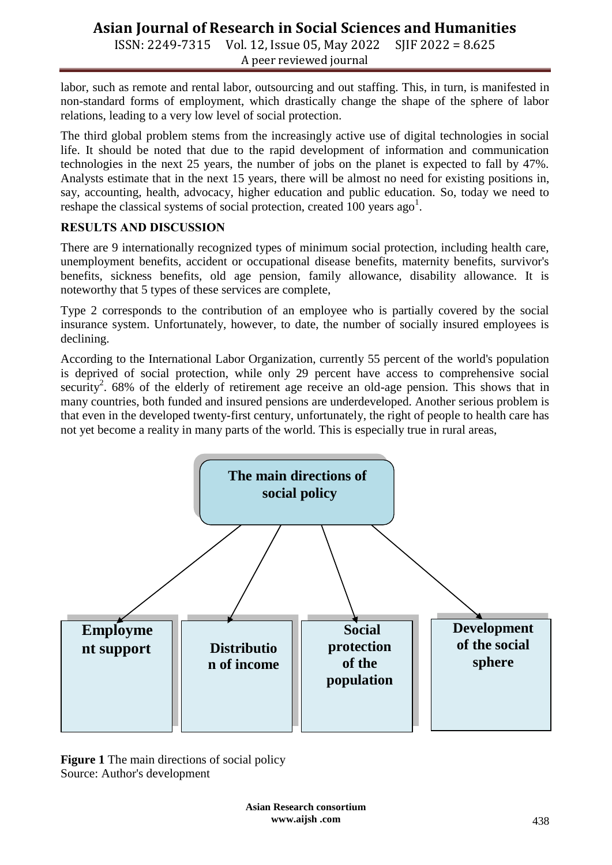ISSN: 2249-7315 Vol. 12, Issue 05, May 2022 SJIF 2022 = 8.625 A peer reviewed journal

labor, such as remote and rental labor, outsourcing and out staffing. This, in turn, is manifested in non-standard forms of employment, which drastically change the shape of the sphere of labor relations, leading to a very low level of social protection.

The third global problem stems from the increasingly active use of digital technologies in social life. It should be noted that due to the rapid development of information and communication technologies in the next 25 years, the number of jobs on the planet is expected to fall by 47%. Analysts estimate that in the next 15 years, there will be almost no need for existing positions in, say, accounting, health, advocacy, higher education and public education. So, today we need to reshape the classical systems of social protection, created  $100$  years ago<sup>1</sup>.

#### **RЕSULTS АND DISСUSSIОN**

There are 9 internationally recognized types of minimum social protection, including health care, unemployment benefits, accident or occupational disease benefits, maternity benefits, survivor's benefits, sickness benefits, old age pension, family allowance, disability allowance. It is noteworthy that 5 types of these services are complete,

Type 2 corresponds to the contribution of an employee who is partially covered by the social insurance system. Unfortunately, however, to date, the number of socially insured employees is declining.

According to the International Labor Organization, currently 55 percent of the world's population is deprived of social protection, while only 29 percent have access to comprehensive social security<sup>2</sup>. 68% of the elderly of retirement age receive an old-age pension. This shows that in many countries, both funded and insured pensions are underdeveloped. Another serious problem is that even in the developed twenty-first century, unfortunately, the right of people to health care has not yet become a reality in many parts of the world. This is especially true in rural areas,



**Figure 1** The main directions of social policy Source: Author's development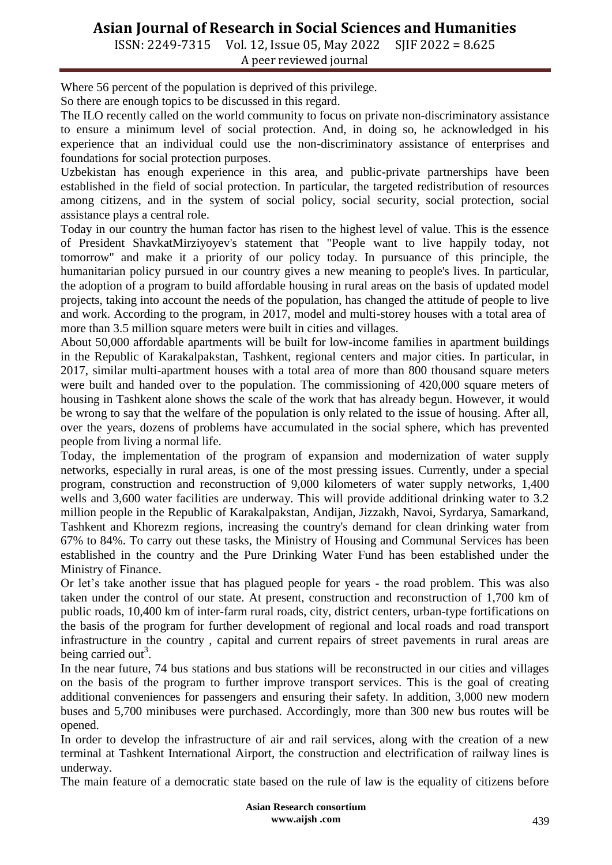ISSN: 2249-7315 Vol. 12, Issue 05, May 2022 SJIF 2022 = 8.625 A peer reviewed journal

Where 56 percent of the population is deprived of this privilege.

So there are enough topics to be discussed in this regard.

The ILO recently called on the world community to focus on private non-discriminatory assistance to ensure a minimum level of social protection. And, in doing so, he acknowledged in his experience that an individual could use the non-discriminatory assistance of enterprises and foundations for social protection purposes.

Uzbekistan has enough experience in this area, and public-private partnerships have been established in the field of social protection. In particular, the targeted redistribution of resources among citizens, and in the system of social policy, social security, social protection, social assistance plays a central role.

Today in our country the human factor has risen to the highest level of value. This is the essence of President ShavkatMirziyoyev's statement that "People want to live happily today, not tomorrow" and make it a priority of our policy today. In pursuance of this principle, the humanitarian policy pursued in our country gives a new meaning to people's lives. In particular, the adoption of a program to build affordable housing in rural areas on the basis of updated model projects, taking into account the needs of the population, has changed the attitude of people to live and work. According to the program, in 2017, model and multi-storey houses with a total area of more than 3.5 million square meters were built in cities and villages.

About 50,000 affordable apartments will be built for low-income families in apartment buildings in the Republic of Karakalpakstan, Tashkent, regional centers and major cities. In particular, in 2017, similar multi-apartment houses with a total area of more than 800 thousand square meters were built and handed over to the population. The commissioning of 420,000 square meters of housing in Tashkent alone shows the scale of the work that has already begun. However, it would be wrong to say that the welfare of the population is only related to the issue of housing. After all, over the years, dozens of problems have accumulated in the social sphere, which has prevented people from living a normal life.

Today, the implementation of the program of expansion and modernization of water supply networks, especially in rural areas, is one of the most pressing issues. Currently, under a special program, construction and reconstruction of 9,000 kilometers of water supply networks, 1,400 wells and 3,600 water facilities are underway. This will provide additional drinking water to 3.2 million people in the Republic of Karakalpakstan, Andijan, Jizzakh, Navoi, Syrdarya, Samarkand, Tashkent and Khorezm regions, increasing the country's demand for clean drinking water from 67% to 84%. To carry out these tasks, the Ministry of Housing and Communal Services has been established in the country and the Pure Drinking Water Fund has been established under the Ministry of Finance.

Or let's take another issue that has plagued people for years - the road problem. This was also taken under the control of our state. At present, construction and reconstruction of 1,700 km of public roads, 10,400 km of inter-farm rural roads, city, district centers, urban-type fortifications on the basis of the program for further development of regional and local roads and road transport infrastructure in the country , capital and current repairs of street pavements in rural areas are being carried out<sup>3</sup>.

In the near future, 74 bus stations and bus stations will be reconstructed in our cities and villages on the basis of the program to further improve transport services. This is the goal of creating additional conveniences for passengers and ensuring their safety. In addition, 3,000 new modern buses and 5,700 minibuses were purchased. Accordingly, more than 300 new bus routes will be opened.

In order to develop the infrastructure of air and rail services, along with the creation of a new terminal at Tashkent International Airport, the construction and electrification of railway lines is underway.

The main feature of a democratic state based on the rule of law is the equality of citizens before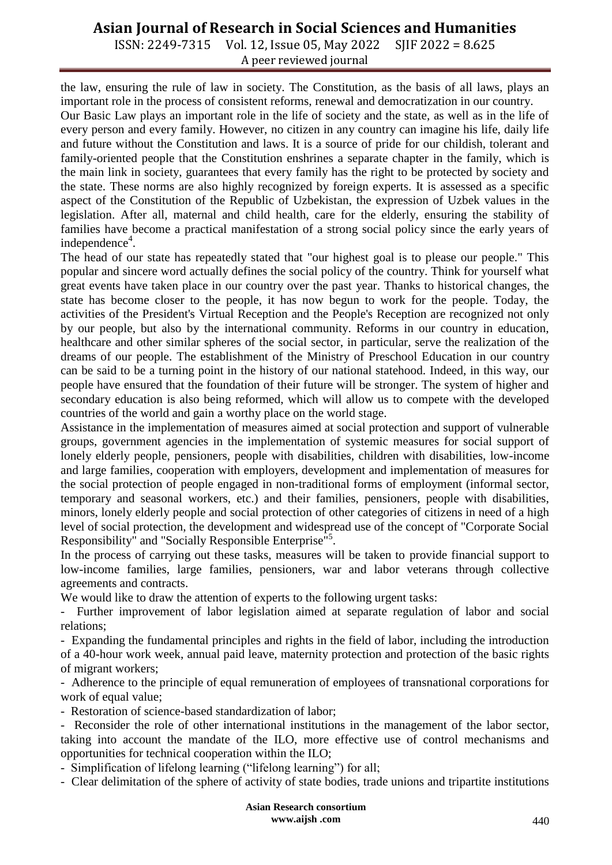ISSN: 2249-7315 Vol. 12, Issue 05, May 2022 SJIF 2022 = 8.625 A peer reviewed journal

the law, ensuring the rule of law in society. The Constitution, as the basis of all laws, plays an important role in the process of consistent reforms, renewal and democratization in our country.

Our Basic Law plays an important role in the life of society and the state, as well as in the life of every person and every family. However, no citizen in any country can imagine his life, daily life and future without the Constitution and laws. It is a source of pride for our childish, tolerant and family-oriented people that the Constitution enshrines a separate chapter in the family, which is the main link in society, guarantees that every family has the right to be protected by society and the state. These norms are also highly recognized by foreign experts. It is assessed as a specific aspect of the Constitution of the Republic of Uzbekistan, the expression of Uzbek values in the legislation. After all, maternal and child health, care for the elderly, ensuring the stability of families have become a practical manifestation of a strong social policy since the early years of independence<sup>4</sup>.

The head of our state has repeatedly stated that "our highest goal is to please our people." This popular and sincere word actually defines the social policy of the country. Think for yourself what great events have taken place in our country over the past year. Thanks to historical changes, the state has become closer to the people, it has now begun to work for the people. Today, the activities of the President's Virtual Reception and the People's Reception are recognized not only by our people, but also by the international community. Reforms in our country in education, healthcare and other similar spheres of the social sector, in particular, serve the realization of the dreams of our people. The establishment of the Ministry of Preschool Education in our country can be said to be a turning point in the history of our national statehood. Indeed, in this way, our people have ensured that the foundation of their future will be stronger. The system of higher and secondary education is also being reformed, which will allow us to compete with the developed countries of the world and gain a worthy place on the world stage.

Assistance in the implementation of measures aimed at social protection and support of vulnerable groups, government agencies in the implementation of systemic measures for social support of lonely elderly people, pensioners, people with disabilities, children with disabilities, low-income and large families, cooperation with employers, development and implementation of measures for the social protection of people engaged in non-traditional forms of employment (informal sector, temporary and seasonal workers, etc.) and their families, pensioners, people with disabilities, minors, lonely elderly people and social protection of other categories of citizens in need of a high level of social protection, the development and widespread use of the concept of "Corporate Social Responsibility" and "Socially Responsible Enterprise<sup>"5</sup>.

In the process of carrying out these tasks, measures will be taken to provide financial support to low-income families, large families, pensioners, war and labor veterans through collective agreements and contracts.

We would like to draw the attention of experts to the following urgent tasks:

- Further improvement of labor legislation aimed at separate regulation of labor and social relations;

- Expanding the fundamental principles and rights in the field of labor, including the introduction of a 40-hour work week, annual paid leave, maternity protection and protection of the basic rights of migrant workers;

- Adherence to the principle of equal remuneration of employees of transnational corporations for work of equal value;

- Restoration of science-based standardization of labor;

Reconsider the role of other international institutions in the management of the labor sector, taking into account the mandate of the ILO, more effective use of control mechanisms and opportunities for technical cooperation within the ILO;

- Simplification of lifelong learning ("lifelong learning") for all;

- Clear delimitation of the sphere of activity of state bodies, trade unions and tripartite institutions